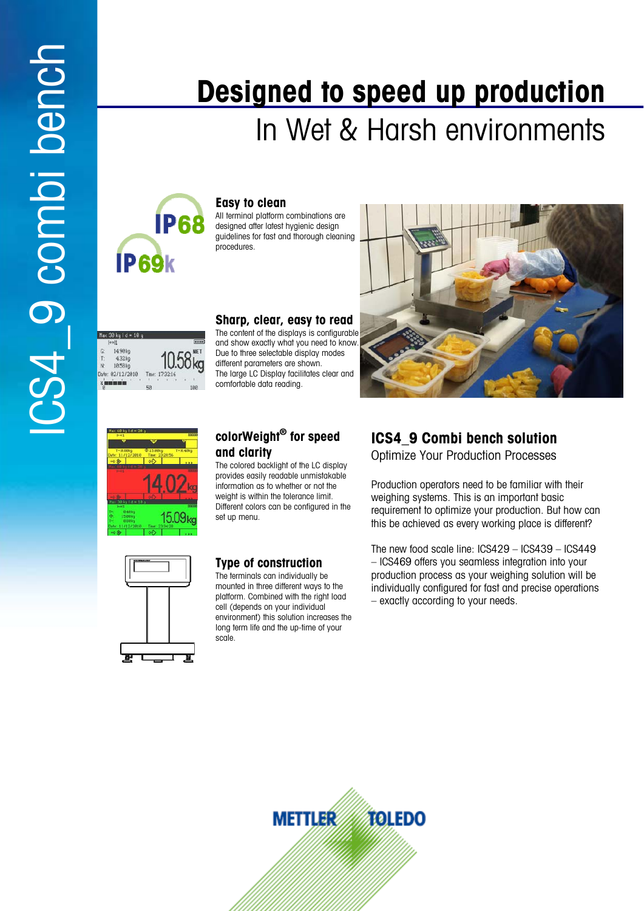# In Wet & Harsh environments **Designed to speed up production**



**Easy to clean**

All terminal platform combinations are designed after latest hygienic design guidelines for fast and thorough cleaning procedures.





Max 30 kg | d = 10 g 14.98k

#### **Sharp, clear, easy to read**

The content of the displays is configurable and show exactly what you need to know. Due to three selectable display modes different parameters are shown. The large LC Display facilitates clear and comfortable data reading.

# 15.09<sub>k</sub>

#### **colorWeight® for speed and clarity**

The colored backlight of the LC display provides easily readable unmistakable information as to whether or not the weight is within the tolerance limit. Different colors can be configured in the set up menu.



#### **Type of construction**

The terminals can individually be mounted in three different ways to the platform. Combined with the right load cell (depends on your individual environment) this solution increases the long term life and the up-time of your scale.

# **ICS4\_9 Combi bench solution**

Optimize Your Production Processes

Production operators need to be familiar with their weighing systems. This is an important basic requirement to optimize your production. But how can this be achieved as every working place is different?

The new food scale line: ICS429 – ICS439 – ICS449 – ICS469 offers you seamless integration into your production process as your weighing solution will be individually configured for fast and precise operations – exactly according to your needs.

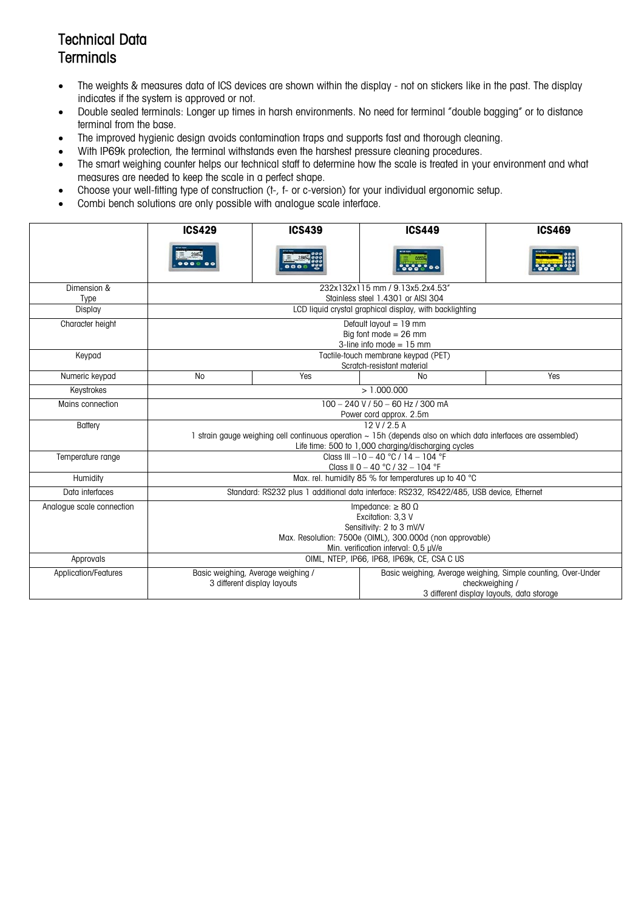## Technical Data **Terminals**

- The weights & measures data of ICS devices are shown within the display not on stickers like in the past. The display indicates if the system is approved or not.
- Double sealed terminals: Longer up times in harsh environments. No need for terminal "double bagging" or to distance terminal from the base.
- The improved hygienic design avoids contamination traps and supports fast and thorough cleaning.
- With IP69k protection, the terminal withstands even the harshest pressure cleaning procedures.
- The smart weighing counter helps our technical staff to determine how the scale is treated in your environment and what measures are needed to keep the scale in a perfect shape.
- Choose your well-fitting type of construction (t-, f- or c-version) for your individual ergonomic setup.
- Combi bench solutions are only possible with analogue scale interface.

|                           | <b>ICS429</b>                                            | <b>ICS439</b>                                                                                                 | <b>ICS449</b>                                                                                  | <b>ICS469</b>                                                 |  |  |  |  |  |  |
|---------------------------|----------------------------------------------------------|---------------------------------------------------------------------------------------------------------------|------------------------------------------------------------------------------------------------|---------------------------------------------------------------|--|--|--|--|--|--|
|                           |                                                          |                                                                                                               |                                                                                                |                                                               |  |  |  |  |  |  |
| Dimension &               |                                                          | 232x132x115 mm / 9.13x5.2x4.53"                                                                               |                                                                                                |                                                               |  |  |  |  |  |  |
| Type                      |                                                          |                                                                                                               | Stainless steel 1.4301 or AISI 304                                                             |                                                               |  |  |  |  |  |  |
| Display                   |                                                          |                                                                                                               | LCD liquid crystal graphical display, with backlighting                                        |                                                               |  |  |  |  |  |  |
| Character height          |                                                          |                                                                                                               | Default layout = 19 mm                                                                         |                                                               |  |  |  |  |  |  |
|                           |                                                          |                                                                                                               | Big font mode $= 26$ mm                                                                        |                                                               |  |  |  |  |  |  |
|                           |                                                          |                                                                                                               | 3-line info mode = $15$ mm                                                                     |                                                               |  |  |  |  |  |  |
| Keypad                    |                                                          |                                                                                                               | Tactile-touch membrane keypad (PET)<br>Scratch-resistant material                              |                                                               |  |  |  |  |  |  |
| Numeric keypad            | N <sub>o</sub>                                           | Yes                                                                                                           | <b>No</b>                                                                                      | Yes                                                           |  |  |  |  |  |  |
| Keystrokes                |                                                          | >1.000.000                                                                                                    |                                                                                                |                                                               |  |  |  |  |  |  |
| Mains connection          |                                                          | $100 - 240$ V / 50 $-$ 60 Hz / 300 mA                                                                         |                                                                                                |                                                               |  |  |  |  |  |  |
|                           |                                                          |                                                                                                               | Power cord approx. 2.5m                                                                        |                                                               |  |  |  |  |  |  |
| Battery                   |                                                          |                                                                                                               | 12 V / 2.5 A                                                                                   |                                                               |  |  |  |  |  |  |
|                           |                                                          | 1 strain gauge weighing cell continuous operation ~ 15h (depends also on which data interfaces are assembled) |                                                                                                |                                                               |  |  |  |  |  |  |
|                           |                                                          |                                                                                                               | Life time: 500 to 1,000 charging/discharging cycles<br>Class III $-10 - 40$ °C / 14 $- 104$ °F |                                                               |  |  |  |  |  |  |
| Temperature range         |                                                          |                                                                                                               | Class II 0 - 40 °C / 32 - 104 °F                                                               |                                                               |  |  |  |  |  |  |
| Humidity                  |                                                          |                                                                                                               | Max. rel. humidity 85 % for temperatures up to 40 °C                                           |                                                               |  |  |  |  |  |  |
| Data interfaces           |                                                          |                                                                                                               | Standard: RS232 plus 1 additional data interface: RS232, RS422/485, USB device, Ethernet       |                                                               |  |  |  |  |  |  |
| Analogue scale connection |                                                          |                                                                                                               | Impedance: $\geq 80 \Omega$                                                                    |                                                               |  |  |  |  |  |  |
|                           | Excitation: 3.3 V                                        |                                                                                                               |                                                                                                |                                                               |  |  |  |  |  |  |
|                           | Sensitivity: 2 to 3 mV/V                                 |                                                                                                               |                                                                                                |                                                               |  |  |  |  |  |  |
|                           | Max. Resolution: 7500e (OIML), 300.000d (non approvable) |                                                                                                               |                                                                                                |                                                               |  |  |  |  |  |  |
|                           | Min. verification interval: 0,5 µV/e                     |                                                                                                               |                                                                                                |                                                               |  |  |  |  |  |  |
| Approvals                 |                                                          | OIML, NTEP, IP66, IP68, IP69k, CE, CSA C US                                                                   |                                                                                                |                                                               |  |  |  |  |  |  |
| Application/Features      |                                                          | Basic weighing, Average weighing /                                                                            |                                                                                                | Basic weighing, Average weighing, Simple counting, Over-Under |  |  |  |  |  |  |
|                           |                                                          | 3 different display layouts                                                                                   | checkweighing /                                                                                |                                                               |  |  |  |  |  |  |
|                           |                                                          |                                                                                                               |                                                                                                | 3 different display layouts, data storage                     |  |  |  |  |  |  |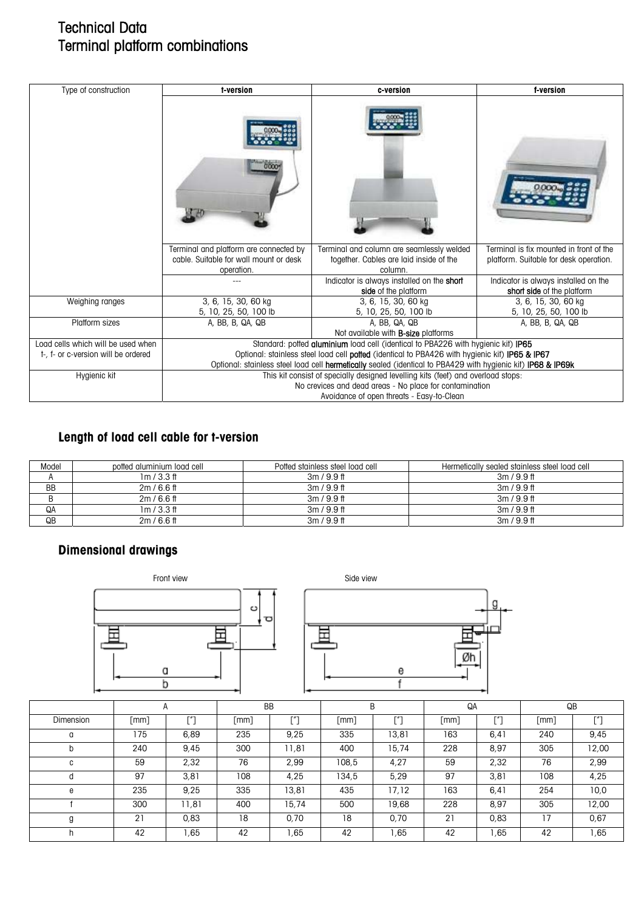## Technical Data Terminal platform combinations

| Type of construction                | t-version                                                                                                    | c-version                                                                                       | f-version                                                                         |  |  |  |  |  |
|-------------------------------------|--------------------------------------------------------------------------------------------------------------|-------------------------------------------------------------------------------------------------|-----------------------------------------------------------------------------------|--|--|--|--|--|
|                                     |                                                                                                              |                                                                                                 | Terminal is fix mounted in front of the<br>platform. Suitable for desk operation. |  |  |  |  |  |
|                                     | Terminal and platform are connected by<br>cable. Suitable for wall mount or desk<br>operation.               | Terminal and column are seamlessly welded<br>together. Cables are laid inside of the<br>column. |                                                                                   |  |  |  |  |  |
|                                     |                                                                                                              | Indicator is always installed on the short<br>side of the platform                              | Indicator is always installed on the<br>short side of the platform                |  |  |  |  |  |
| Weighing ranges                     | 3, 6, 15, 30, 60 kg<br>5, 10, 25, 50, 100 lb                                                                 | 3, 6, 15, 30, 60 kg<br>5, 10, 25, 50, 100 lb                                                    | 3, 6, 15, 30, 60 kg<br>5, 10, 25, 50, 100 lb                                      |  |  |  |  |  |
| Platform sizes                      | A, BB, B, QA, QB                                                                                             | A. BB. QA. QB<br>Not available with <b>B-size</b> platforms                                     | A, BB, B, QA, QB                                                                  |  |  |  |  |  |
| Load cells which will be used when  | Standard: potted aluminium load cell (identical to PBA226 with hygienic kit) IP65                            |                                                                                                 |                                                                                   |  |  |  |  |  |
| t-, f- or c-version will be ordered | Optional: stainless steel load cell potted (identical to PBA426 with hygienic kit) IP65 & IP67               |                                                                                                 |                                                                                   |  |  |  |  |  |
|                                     | Optional: stainless steel load cell hermetically sealed (identical to PBA429 with hygienic kit) IP68 & IP69k |                                                                                                 |                                                                                   |  |  |  |  |  |
| Hygienic kit                        | This kit consist of specially designed levelling kits (feet) and overload stops:                             |                                                                                                 |                                                                                   |  |  |  |  |  |
|                                     | No crevices and dead areas - No place for contamination                                                      |                                                                                                 |                                                                                   |  |  |  |  |  |
|                                     | Avoidance of open threats - Easy-to-Clean                                                                    |                                                                                                 |                                                                                   |  |  |  |  |  |

#### **Length of load cell cable for t-version**

| Model     | potted aluminium load cell | Potted stainless steel load cell | Hermetically sealed stainless steel load cell |
|-----------|----------------------------|----------------------------------|-----------------------------------------------|
|           | 1m/3.3ft                   | $3m/9.9$ ft                      | $3m/9.9$ ft                                   |
| <b>BB</b> | $2m/6.6$ ff                | $3m/9.9$ ft                      | $3m/9.9$ ft                                   |
|           | $2m/6.6$ ff                | $3m/9.9$ ff                      | $3m/9.9$ ft                                   |
| QA        | 1m/3.3ft                   | $3m/9.9$ ft                      | $3m/9.9$ ft                                   |
| QB        | $2m/6.6$ ff                | $3m/9.9$ ft                      | $3m/9.9$ ff                                   |

#### **Dimensional drawings**





|           |      |                                                       | <b>BB</b> |       | B     |       | QA   |             | QB   |       |
|-----------|------|-------------------------------------------------------|-----------|-------|-------|-------|------|-------------|------|-------|
| Dimension | [mm] | $\left[\begin{smallmatrix}''\end{smallmatrix}\right]$ | [mm]      | ["]   | [mm]  | F''   | [mm] | <b>F</b> #7 | [mm] | г″1   |
| a         | 175  | 6,89                                                  | 235       | 9,25  | 335   | 13,81 | 163  | 6,41        | 240  | 9,45  |
| D         | 240  | 9,45                                                  | 300       | 11,81 | 400   | 15,74 | 228  | 8,97        | 305  | 12,00 |
| C         | 59   | 2,32                                                  | 76        | 2,99  | 108,5 | 4,27  | 59   | 2,32        | 76   | 2,99  |
| O         | 97   | 3,81                                                  | 108       | 4,25  | 134,5 | 5,29  | 97   | 3,81        | 108  | 4,25  |
| e         | 235  | 9,25                                                  | 335       | 13,81 | 435   | 17,12 | 163  | 6,41        | 254  | 10,0  |
|           | 300  | 11,81                                                 | 400       | 15,74 | 500   | 19,68 | 228  | 8,97        | 305  | 12,00 |
| g         | 21   | 0,83                                                  | 18        | 0,70  | 18    | 0,70  | 21   | 0,83        | 17   | 0,67  |
|           | 42   | ,65                                                   | 42        | ,65   | 42    | .65   | 42   | ,65         | 42   | 1,65  |